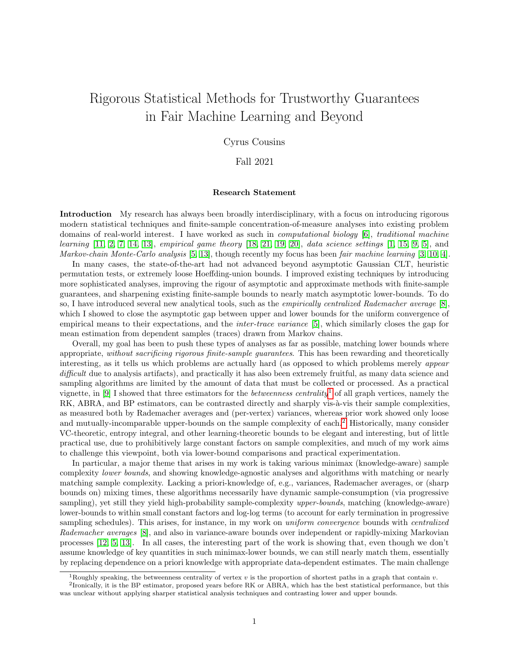# Rigorous Statistical Methods for Trustworthy Guarantees in Fair Machine Learning and Beyond

### Cyrus Cousins

#### Fall 2021

#### Research Statement

Introduction My research has always been broadly interdisciplinary, with a focus on introducing rigorous modern statistical techniques and finite-sample concentration-of-measure analyses into existing problem domains of real-world interest. I have worked as such in computational biology [\[6\]](#page-5-0), traditional machine learning [\[11,](#page-5-1) [2,](#page-5-2) [7,](#page-5-3) [14,](#page-5-4) [13\]](#page-5-5), empirical game theory [\[18,](#page-5-6) [21,](#page-5-7) [19,](#page-5-8) [20\]](#page-5-9), data science settings [\[1,](#page-5-10) [15,](#page-5-11) [9,](#page-5-12) [5\]](#page-5-13), and Markov-chain Monte-Carlo analysis [\[5,](#page-5-13) [13\]](#page-5-5), though recently my focus has been fair machine learning [\[3,](#page-5-14) [10,](#page-5-15) [4\]](#page-5-16).

In many cases, the state-of-the-art had not advanced beyond asymptotic Gaussian CLT, heuristic permutation tests, or extremely loose Hoeffding-union bounds. I improved existing techniques by introducing more sophisticated analyses, improving the rigour of asymptotic and approximate methods with finite-sample guarantees, and sharpening existing finite-sample bounds to nearly match asymptotic lower-bounds. To do so, I have introduced several new analytical tools, such as the empirically centralized Rademacher average [\[8\]](#page-5-17), which I showed to close the asymptotic gap between upper and lower bounds for the uniform convergence of empirical means to their expectations, and the inter-trace variance [\[5\]](#page-5-13), which similarly closes the gap for mean estimation from dependent samples (traces) drawn from Markov chains.

Overall, my goal has been to push these types of analyses as far as possible, matching lower bounds where appropriate, without sacrificing rigorous finite-sample guarantees. This has been rewarding and theoretically interesting, as it tells us which problems are actually hard (as opposed to which problems merely appear difficult due to analysis artifacts), and practically it has also been extremely fruitful, as many data science and sampling algorithms are limited by the amount of data that must be collected or processed. As a practical vignette, in [\[9\]](#page-5-12) I showed that three estimators for the *betweenness centrality*<sup>[1](#page-0-0)</sup> of all graph vertices, namely the RK, ABRA, and BP estimators, can be contrasted directly and sharply vis-à-vis their sample complexities, as measured both by Rademacher averages and (per-vertex) variances, whereas prior work showed only loose and mutually-incomparable upper-bounds on the sample complexity of each.[2](#page-0-1) Historically, many consider VC-theoretic, entropy integral, and other learning-theoretic bounds to be elegant and interesting, but of little practical use, due to prohibitively large constant factors on sample complexities, and much of my work aims to challenge this viewpoint, both via lower-bound comparisons and practical experimentation.

In particular, a major theme that arises in my work is taking various minimax (knowledge-aware) sample complexity lower bounds, and showing knowledge-agnostic analyses and algorithms with matching or nearly matching sample complexity. Lacking a priori-knowledge of, e.g., variances, Rademacher averages, or (sharp bounds on) mixing times, these algorithms necessarily have dynamic sample-consumption (via progressive sampling), yet still they yield high-probability sample-complexity upper-bounds, matching (knowledge-aware) lower-bounds to within small constant factors and log-log terms (to account for early termination in progressive sampling schedules). This arises, for instance, in my work on *uniform convergence* bounds with *centralized* Rademacher averages [\[8\]](#page-5-17), and also in variance-aware bounds over independent or rapidly-mixing Markovian processes [\[12,](#page-5-18) [5,](#page-5-13) [13\]](#page-5-5). In all cases, the interesting part of the work is showing that, even though we don't assume knowledge of key quantities in such minimax-lower bounds, we can still nearly match them, essentially by replacing dependence on a priori knowledge with appropriate data-dependent estimates. The main challenge

<span id="page-0-1"></span><span id="page-0-0"></span><sup>&</sup>lt;sup>1</sup>Roughly speaking, the betweenness centrality of vertex v is the proportion of shortest paths in a graph that contain v.

<sup>&</sup>lt;sup>2</sup>Ironically, it is the BP estimator, proposed years before RK or ABRA, which has the best statistical performance, but this was unclear without applying sharper statistical analysis techniques and contrasting lower and upper bounds.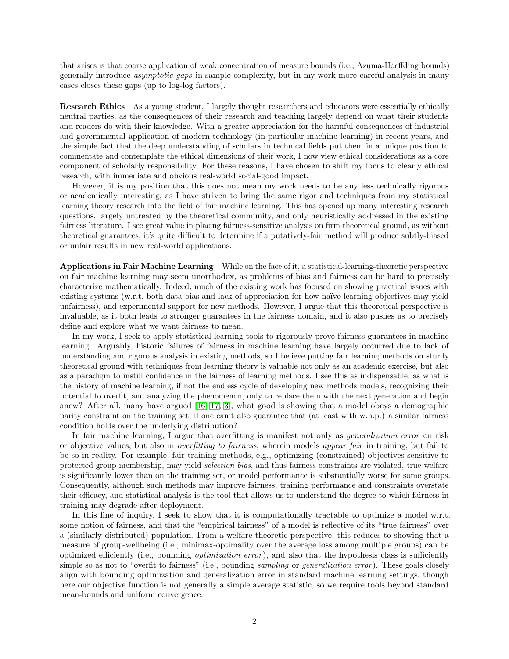that arises is that coarse application of weak concentration of measure bounds (i.e., Azuma-Hoeffding bounds) generally introduce asymptotic gaps in sample complexity, but in my work more careful analysis in many cases closes these gaps (up to log-log factors).

Research Ethics As a young student, I largely thought researchers and educators were essentially ethically neutral parties, as the consequences of their research and teaching largely depend on what their students and readers do with their knowledge. With a greater appreciation for the harmful consequences of industrial and governmental application of modern technology (in particular machine learning) in recent years, and the simple fact that the deep understanding of scholars in technical fields put them in a unique position to commentate and contemplate the ethical dimensions of their work, I now view ethical considerations as a core component of scholarly responsibility. For these reasons, I have chosen to shift my focus to clearly ethical research, with immediate and obvious real-world social-good impact.

However, it is my position that this does not mean my work needs to be any less technically rigorous or academically interesting, as I have striven to bring the same rigor and techniques from my statistical learning theory research into the field of fair machine learning. This has opened up many interesting research questions, largely untreated by the theoretical community, and only heuristically addressed in the existing fairness literature. I see great value in placing fairness-sensitive analysis on firm theoretical ground, as without theoretical guarantees, it's quite difficult to determine if a putatively-fair method will produce subtly-biased or unfair results in new real-world applications.

Applications in Fair Machine Learning While on the face of it, a statistical-learning-theoretic perspective on fair machine learning may seem unorthodox, as problems of bias and fairness can be hard to precisely characterize mathematically. Indeed, much of the existing work has focused on showing practical issues with existing systems (w.r.t. both data bias and lack of appreciation for how naïve learning objectives may yield unfairness), and experimental support for new methods. However, I argue that this theoretical perspective is invaluable, as it both leads to stronger guarantees in the fairness domain, and it also pushes us to precisely define and explore what we want fairness to mean.

In my work, I seek to apply statistical learning tools to rigorously prove fairness guarantees in machine learning. Arguably, historic failures of fairness in machine learning have largely occurred due to lack of understanding and rigorous analysis in existing methods, so I believe putting fair learning methods on sturdy theoretical ground with techniques from learning theory is valuable not only as an academic exercise, but also as a paradigm to instill confidence in the fairness of learning methods. I see this as indispensable, as what is the history of machine learning, if not the endless cycle of developing new methods models, recognizing their potential to overfit, and analyzing the phenomenon, only to replace them with the next generation and begin anew? After all, many have argued [\[16,](#page-5-19) [17,](#page-5-20) [3\]](#page-5-14), what good is showing that a model obeys a demographic parity constraint on the training set, if one can't also guarantee that (at least with w.h.p.) a similar fairness condition holds over the underlying distribution?

In fair machine learning, I argue that overfitting is manifest not only as *generalization error* on risk or objective values, but also in overfitting to fairness, wherein models appear fair in training, but fail to be so in reality. For example, fair training methods, e.g., optimizing (constrained) objectives sensitive to protected group membership, may yield selection bias, and thus fairness constraints are violated, true welfare is significantly lower than on the training set, or model performance is substantially worse for some groups. Consequently, although such methods may improve fairness, training performance and constraints overstate their efficacy, and statistical analysis is the tool that allows us to understand the degree to which fairness in training may degrade after deployment.

In this line of inquiry, I seek to show that it is computationally tractable to optimize a model w.r.t. some notion of fairness, and that the "empirical fairness" of a model is reflective of its "true fairness" over a (similarly distributed) population. From a welfare-theoretic perspective, this reduces to showing that a measure of group-wellbeing (i.e., minimax-optimality over the average loss among multiple groups) can be optimized efficiently (i.e., bounding optimization error ), and also that the hypothesis class is sufficiently simple so as not to "overfit to fairness" (i.e., bounding sampling or generalization error). These goals closely align with bounding optimization and generalization error in standard machine learning settings, though here our objective function is not generally a simple average statistic, so we require tools beyond standard mean-bounds and uniform convergence.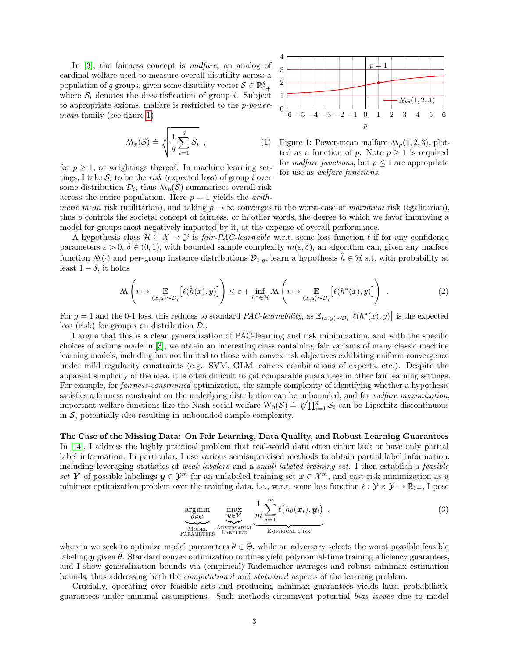In [\[3\]](#page-5-14), the fairness concept is malfare, an analog of cardinal welfare used to measure overall disutility across a population of g groups, given some disutility vector  $\mathcal{S} \in \mathbb{R}_{0+}^g$ where  $S_i$  denotes the dissatisfication of group i. Subject to appropriate axioms, malfare is restricted to the p-powermean family (see figure [1\)](#page-2-0)

$$
M_p(\mathcal{S}) \doteq \sqrt[p]{\frac{1}{g} \sum_{i=1}^g \mathcal{S}_i}, \qquad (1)
$$

for  $p \geq 1$ , or weightings thereof. In machine learning settings, I take  $S_i$  to be the risk (expected loss) of group i over some distribution  $\mathcal{D}_i$ , thus  $M_p(\mathcal{S})$  summarizes overall risk across the entire population. Here  $p = 1$  yields the *arith*-

<span id="page-2-0"></span>

Figure 1: Power-mean malfare  $M_p(1,2,3)$ , plotted as a function of p. Note  $p \geq 1$  is required for *malfare functions*, but  $p \leq 1$  are appropriate for use as welfare functions.

metic mean risk (utilitarian), and taking  $p \to \infty$  converges to the worst-case or maximum risk (egalitarian), thus p controls the societal concept of fairness, or in other words, the degree to which we favor improving a model for groups most negatively impacted by it, at the expense of overall performance.

A hypothesis class  $\mathcal{H} \subseteq \mathcal{X} \to \mathcal{Y}$  is fair-PAC-learnable w.r.t. some loss function  $\ell$  if for any confidence parameters  $\varepsilon > 0$ ,  $\delta \in (0, 1)$ , with bounded sample complexity  $m(\varepsilon, \delta)$ , an algorithm can, given any malfare function  $M(\cdot)$  and per-group instance distributions  $\mathcal{D}_{1:g}$ , learn a hypothesis  $\hat{h} \in \mathcal{H}$  s.t. with probability at least  $1 - \delta$ , it holds

$$
\Lambda\left(i \mapsto \mathop{\mathbb{E}}_{(x,y)\sim\mathcal{D}_i}[\ell(\hat{h}(x),y)]\right) \leq \varepsilon + \inf_{h^* \in \mathcal{H}} \Lambda\left(i \mapsto \mathop{\mathbb{E}}_{(x,y)\sim\mathcal{D}_i}[\ell(h^*(x),y)]\right) . \tag{2}
$$

For  $g = 1$  and the 0-1 loss, this reduces to standard PAC-learnability, as  $\mathbb{E}_{(x,y)\sim\mathcal{D}_i}[\ell(h^*(x),y)]$  is the expected loss (risk) for group i on distribution  $\mathcal{D}_i$ .

I argue that this is a clean generalization of PAC-learning and risk minimization, and with the specific choices of axioms made in [\[3\]](#page-5-14), we obtain an interesting class containing fair variants of many classic machine learning models, including but not limited to those with convex risk objectives exhibiting uniform convergence under mild regularity constraints (e.g., SVM, GLM, convex combinations of experts, etc.). Despite the apparent simplicity of the idea, it is often difficult to get comparable guarantees in other fair learning settings. For example, for *fairness-constrained* optimization, the sample complexity of identifying whether a hypothesis satisfies a fairness constraint on the underlying distribution can be unbounded, and for welfare maximization, important welfare functions like the Nash social welfare  $W_0(S) = \sqrt[R]{\prod_{i=1}^S S_i}$  can be Lipschitz discontinuous in  $S$ , potentially also resulting in unbounded sample complexity.

The Case of the Missing Data: On Fair Learning, Data Quality, and Robust Learning Guarantees In [\[14\]](#page-5-4), I address the highly practical problem that real-world data often either lack or have only partial label information. In particular, I use various semisupervised methods to obtain partial label information, including leveraging statistics of weak labelers and a small labeled training set. I then establish a feasible set Y of possible labelings  $y \in \mathcal{Y}^m$  for an unlabeled training set  $x \in \mathcal{X}^m$ , and cast risk minimization as a minimax optimization problem over the training data, i.e., w.r.t. some loss function  $\ell : \mathcal{Y} \times \mathcal{Y} \to \mathbb{R}_{0+}$ , I pose

<span id="page-2-1"></span>
$$
\underbrace{\text{argmin}}_{\text{MoDEL}} \underbrace{\max}_{\text{ADVERSARIAL}} \underbrace{\frac{1}{m} \sum_{i=1}^{m} \ell(h_{\theta}(\boldsymbol{x}_{i}), \boldsymbol{y}_{i})}_{\text{EMPHRCAL RISK}}, \tag{3}
$$

wherein we seek to optimize model parameters  $\theta \in \Theta$ , while an adversary selects the worst possible feasible labeling  $y$  given  $\theta$ . Standard convex optimization routines yield polynomial-time training efficiency guarantees, and I show generalization bounds via (empirical) Rademacher averages and robust minimax estimation bounds, thus addressing both the computational and statistical aspects of the learning problem.

Crucially, operating over feasible sets and producing minimax guarantees yields hard probabilistic guarantees under minimal assumptions. Such methods circumvent potential bias issues due to model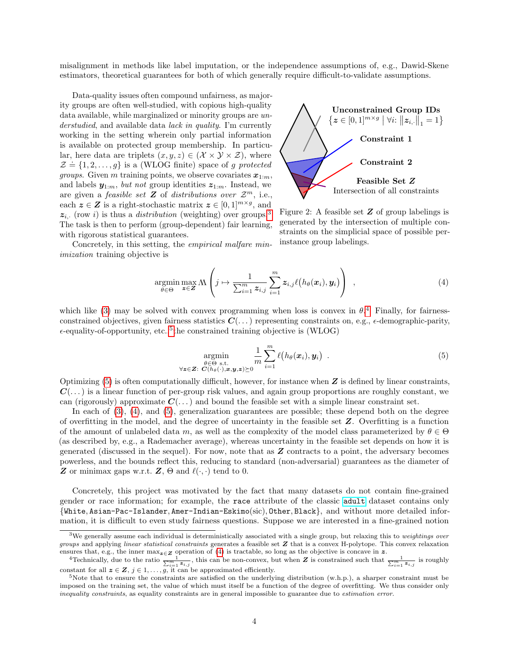misalignment in methods like label imputation, or the independence assumptions of, e.g., Dawid-Skene estimators, theoretical guarantees for both of which generally require difficult-to-validate assumptions.

Data-quality issues often compound unfairness, as majority groups are often well-studied, with copious high-quality data available, while marginalized or minority groups are understudied, and available data lack in quality. I'm currently working in the setting wherein only partial information is available on protected group membership. In particular, here data are triplets  $(x, y, z) \in (\mathcal{X} \times \mathcal{Y} \times \mathcal{Z})$ , where  $\mathcal{Z} = \{1, 2, ..., g\}$  is a (WLOG finite) space of g protected *groups.* Given m training points, we observe covariates  $x_{1:m}$ , and labels  $y_{1:m}$ , but not group identities  $z_{1:m}$ . Instead, we are given a *feasible set* **Z** of *distributions over*  $\mathcal{Z}^m$ , i.e., each  $z \in \mathbb{Z}$  is a right-stochastic matrix  $z \in [0,1]^{m \times g}$ , and  $z_i$ , (row i) is thus a *distribution* (weighting) over groups.<sup>[3](#page-3-0)</sup> The task is then to perform (group-dependent) fair learning, with rigorous statistical guarantees.

<span id="page-3-5"></span>

Figure 2: A feasible set  $Z$  of group labelings is generated by the intersection of multiple constraints on the simplicial space of possible perinstance group labelings.

Concretely, in this setting, the empirical malfare minimization training objective is

<span id="page-3-4"></span>
$$
\underset{\theta \in \Theta}{\operatorname{argmin}} \max_{\mathbf{z} \in \mathbf{Z}} \mathcal{M}\left(j \mapsto \frac{1}{\sum_{i=1}^{m} z_{i,j}} \sum_{i=1}^{m} z_{i,j} \ell(h_{\theta}(\mathbf{x}_{i}), \mathbf{y}_{i})\right) , \qquad (4)
$$

which like [\(3\)](#page-2-1) may be solved with convex programming when loss is convex in  $\theta$ <sup>[4](#page-3-1)</sup>. Finally, for fairnessconstrained objectives, given fairness statistics  $C(\ldots)$  representing constraints on, e.g.,  $\epsilon$ -demographic-parity,  $\epsilon$ -equality-of-opportunity, etc.,<sup>[5](#page-3-2)</sup> the constrained training objective is (WLOG)

<span id="page-3-3"></span>
$$
\underset{\forall \mathbf{z} \in \mathbf{Z}: \ C(h_{\theta}(\cdot), \mathbf{x}, \mathbf{y}, \mathbf{z}) \succeq 0}{\text{argmin}} \frac{1}{m} \sum_{i=1}^{m} \ell(h_{\theta}(\mathbf{x}_i), \mathbf{y}_i) \quad . \tag{5}
$$

Optimizing  $(5)$  is often computationally difficult, however, for instance when  $\boldsymbol{Z}$  is defined by linear constraints,  $C(\ldots)$  is a linear function of per-group risk values, and again group proportions are roughly constant, we can (rigorously) approximate  $C(\ldots)$  and bound the feasible set with a simple linear constraint set.

In each of  $(3)$ ,  $(4)$ , and  $(5)$ , generalization guarantees are possible; these depend both on the degree of overfitting in the model, and the degree of uncertainty in the feasible set  $Z$ . Overfitting is a function of the amount of unlabeled data m, as well as the complexity of the model class parameterized by  $\theta \in \Theta$ (as described by, e.g., a Rademacher average), whereas uncertainty in the feasible set depends on how it is generated (discussed in the sequel). For now, note that as Z contracts to a point, the adversary becomes powerless, and the bounds reflect this, reducing to standard (non-adversarial) guarantees as the diameter of **Z** or minimax gaps w.r.t. **Z**,  $\Theta$  and  $\ell(\cdot, \cdot)$  tend to 0.

Concretely, this project was motivated by the fact that many datasets do not contain fine-grained gender or race information; for example, the race attribute of the classic [adult](https://archive.ics.uci.edu/ml/datasets/adult) dataset contains only {White, Asian-Pac-Islander, Amer-Indian-Eskimo(sic), Other, Black}, and without more detailed information, it is difficult to even study fairness questions. Suppose we are interested in a fine-grained notion

<span id="page-3-0"></span> $3$ We generally assume each individual is deterministically associated with a single group, but relaxing this to weightings over groups and applying linear statistical constraints generates a feasible set Z that is a convex H-polytope. This convex relaxation ensures that, e.g., the inner  $\max_{z\in\mathbf{Z}}$  operation of [\(4\)](#page-3-4) is tractable, so long as the objective is concave in z.

<span id="page-3-1"></span><sup>&</sup>lt;sup>4</sup>Technically, due to the ratio  $\frac{1}{\sum_{i=1}^m \mathbf{z}_{i,j}}$ , this can be non-convex, but when **Z** is constrained such that  $\frac{1}{\sum_{i=1}^m \mathbf{z}_{i,j}}$  is roughly constant for all  $z \in \mathbf{Z}, j \in 1, \ldots, g$ , it can be approximated efficiently.

<span id="page-3-2"></span><sup>&</sup>lt;sup>5</sup>Note that to ensure the constraints are satisfied on the underlying distribution (w.h.p.), a sharper constraint must be imposed on the training set, the value of which must itself be a function of the degree of overfitting. We thus consider only inequality constraints, as equality constraints are in general impossible to guarantee due to estimation error.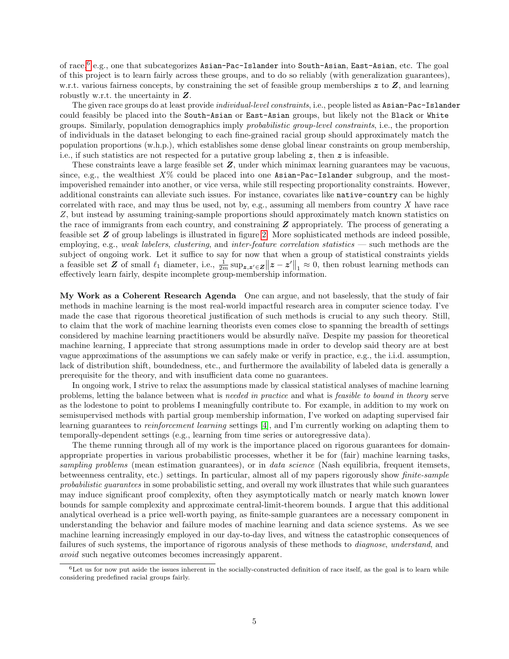of race, $^6$  $^6$  e.g., one that subcategorizes Asian-Pac-Islander into South-Asian, East-Asian, etc. The goal of this project is to learn fairly across these groups, and to do so reliably (with generalization guarantees), w.r.t. various fairness concepts, by constraining the set of feasible group memberships  $z$  to  $Z$ , and learning robustly w.r.t. the uncertainty in Z.

The given race groups do at least provide *individual-level constraints*, i.e., people listed as Asian-Pac-Islander could feasibly be placed into the South-Asian or East-Asian groups, but likely not the Black or White groups. Similarly, population demographics imply probabilistic group-level constraints, i.e., the proportion of individuals in the dataset belonging to each fine-grained racial group should approximately match the population proportions (w.h.p.), which establishes some dense global linear constraints on group membership, i.e., if such statistics are not respected for a putative group labeling  $z$ , then  $z$  is infeasible.

These constraints leave a large feasible set Z, under which minimax learning guarantees may be vacuous, since, e.g., the wealthiest  $X\%$  could be placed into one Asian-Pac-Islander subgroup, and the mostimpoverished remainder into another, or vice versa, while still respecting proportionality constraints. However, additional constraints can alleviate such issues. For instance, covariates like native-country can be highly correlated with race, and may thus be used, not by, e.g., assuming all members from country  $X$  have race Z, but instead by assuming training-sample proportions should approximately match known statistics on the race of immigrants from each country, and constraining  $Z$  appropriately. The process of generating a feasible set Z of group labelings is illustrated in figure [2.](#page-3-5) More sophisticated methods are indeed possible, employing, e.g., weak labelers, clustering, and inter-feature correlation statistics — such methods are the subject of ongoing work. Let it suffice to say for now that when a group of statistical constraints yields a feasible set Z of small  $\ell_1$  diameter, i.e.,  $\frac{1}{2m} \sup_{z,z'\in Z} ||z-z'||_1 \approx 0$ , then robust learning methods can effectively learn fairly, despite incomplete group-membership information.

My Work as a Coherent Research Agenda One can argue, and not baselessly, that the study of fair methods in machine learning is the most real-world impactful research area in computer science today. I've made the case that rigorous theoretical justification of such methods is crucial to any such theory. Still, to claim that the work of machine learning theorists even comes close to spanning the breadth of settings considered by machine learning practitioners would be absurdly naïve. Despite my passion for theoretical machine learning, I appreciate that strong assumptions made in order to develop said theory are at best vague approximations of the assumptions we can safely make or verify in practice, e.g., the i.i.d. assumption, lack of distribution shift, boundedness, etc., and furthermore the availability of labeled data is generally a prerequisite for the theory, and with insufficient data come no guarantees.

In ongoing work, I strive to relax the assumptions made by classical statistical analyses of machine learning problems, letting the balance between what is needed in practice and what is feasible to bound in theory serve as the lodestone to point to problems I meaningfully contribute to. For example, in addition to my work on semisupervised methods with partial group membership information, I've worked on adapting supervised fair learning guarantees to reinforcement learning settings [\[4\]](#page-5-16), and I'm currently working on adapting them to temporally-dependent settings (e.g., learning from time series or autoregressive data).

The theme running through all of my work is the importance placed on rigorous guarantees for domainappropriate properties in various probabilistic processes, whether it be for (fair) machine learning tasks, sampling problems (mean estimation guarantees), or in *data science* (Nash equilibria, frequent itemsets, betweenness centrality, etc.) settings. In particular, almost all of my papers rigorously show finite-sample probabilistic guarantees in some probabilistic setting, and overall my work illustrates that while such guarantees may induce significant proof complexity, often they asymptotically match or nearly match known lower bounds for sample complexity and approximate central-limit-theorem bounds. I argue that this additional analytical overhead is a price well-worth paying, as finite-sample guarantees are a necessary component in understanding the behavior and failure modes of machine learning and data science systems. As we see machine learning increasingly employed in our day-to-day lives, and witness the catastrophic consequences of failures of such systems, the importance of rigorous analysis of these methods to diagnose, understand, and avoid such negative outcomes becomes increasingly apparent.

<span id="page-4-0"></span> $6$ Let us for now put aside the issues inherent in the socially-constructed definition of race itself, as the goal is to learn while considering predefined racial groups fairly.